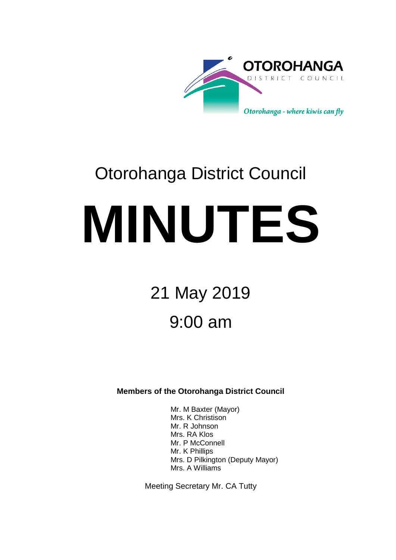

# Otorohanga District Council **MINUTES**

# 21 May 2019 9:00 am

**Members of the Otorohanga District Council**

Mr. M Baxter (Mayor) Mrs. K Christison Mr. R Johnson Mrs. RA Klos Mr. P McConnell Mr. K Phillips Mrs. D Pilkington (Deputy Mayor) Mrs. A Williams

Meeting Secretary Mr. CA Tutty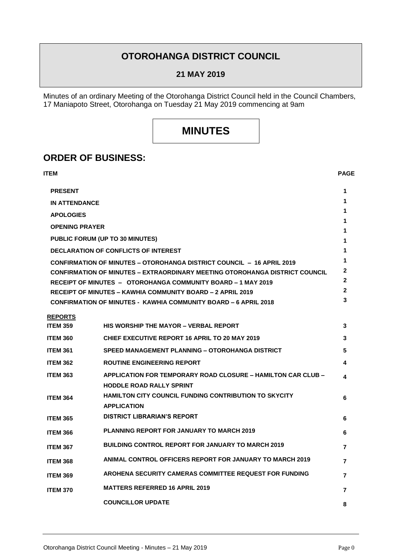## **OTOROHANGA DISTRICT COUNCIL**

**21 MAY 2019**

Minutes of an ordinary Meeting of the Otorohanga District Council held in the Council Chambers, 17 Maniapoto Street, Otorohanga on Tuesday 21 May 2019 commencing at 9am

# **MINUTES**

### **ORDER OF BUSINESS:**

| ITEM                                                                         |                                                                                                 | <b>PAGE</b>  |
|------------------------------------------------------------------------------|-------------------------------------------------------------------------------------------------|--------------|
| <b>PRESENT</b>                                                               |                                                                                                 | 1            |
| <b>IN ATTENDANCE</b>                                                         |                                                                                                 | 1            |
| <b>APOLOGIES</b>                                                             |                                                                                                 | 1            |
| <b>OPENING PRAYER</b>                                                        |                                                                                                 | 1            |
| <b>PUBLIC FORUM (UP TO 30 MINUTES)</b>                                       |                                                                                                 | 1<br>1       |
| <b>DECLARATION OF CONFLICTS OF INTEREST</b>                                  |                                                                                                 | 1            |
| <b>CONFIRMATION OF MINUTES – OTOROHANGA DISTRICT COUNCIL – 16 APRIL 2019</b> |                                                                                                 | 1            |
| CONFIRMATION OF MINUTES – EXTRAORDINARY MEETING OTOROHANGA DISTRICT COUNCIL  |                                                                                                 | 2            |
|                                                                              | RECEIPT OF MINUTES - OTOROHANGA COMMUNITY BOARD - 1 MAY 2019                                    | $\mathbf{2}$ |
|                                                                              | <b>RECEIPT OF MINUTES - KAWHIA COMMUNITY BOARD - 2 APRIL 2019</b>                               | 2            |
|                                                                              | <b>CONFIRMATION OF MINUTES - KAWHIA COMMUNITY BOARD – 6 APRIL 2018</b>                          | 3            |
| <b>REPORTS</b>                                                               |                                                                                                 |              |
| <b>ITEM 359</b>                                                              | <b>HIS WORSHIP THE MAYOR - VERBAL REPORT</b>                                                    | 3            |
| <b>ITEM 360</b>                                                              | <b>CHIEF EXECUTIVE REPORT 16 APRIL TO 20 MAY 2019</b>                                           | 3            |
| <b>ITEM 361</b>                                                              | <b>SPEED MANAGEMENT PLANNING – OTOROHANGA DISTRICT</b>                                          | 5            |
| <b>ITEM 362</b>                                                              | <b>ROUTINE ENGINEERING REPORT</b>                                                               | 4            |
| <b>ITEM 363</b>                                                              | APPLICATION FOR TEMPORARY ROAD CLOSURE – HAMILTON CAR CLUB –<br><b>HODDLE ROAD RALLY SPRINT</b> | 4            |
| <b>ITEM 364</b>                                                              | <b>HAMILTON CITY COUNCIL FUNDING CONTRIBUTION TO SKYCITY</b><br><b>APPLICATION</b>              | 6            |
| <b>ITEM 365</b>                                                              | <b>DISTRICT LIBRARIAN'S REPORT</b>                                                              | 6            |
| <b>ITEM 366</b>                                                              | <b>PLANNING REPORT FOR JANUARY TO MARCH 2019</b>                                                | 6            |
| <b>ITEM 367</b>                                                              | <b>BUILDING CONTROL REPORT FOR JANUARY TO MARCH 2019</b>                                        | 7            |
| <b>ITEM 368</b>                                                              | ANIMAL CONTROL OFFICERS REPORT FOR JANUARY TO MARCH 2019                                        | 7            |
| <b>ITEM 369</b>                                                              | AROHENA SECURITY CAMERAS COMMITTEE REQUEST FOR FUNDING                                          | 7            |
| <b>ITEM 370</b>                                                              | <b>MATTERS REFERRED 16 APRIL 2019</b>                                                           | 7            |
|                                                                              | <b>COUNCILLOR UPDATE</b>                                                                        | 8            |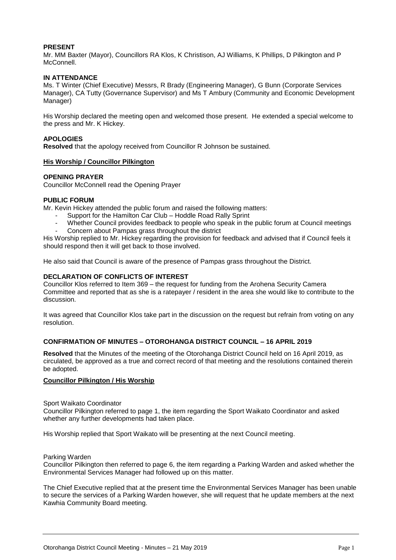#### **PRESENT**

Mr. MM Baxter (Mayor), Councillors RA Klos, K Christison, AJ Williams, K Phillips, D Pilkington and P McConnell.

#### **IN ATTENDANCE**

Ms. T Winter (Chief Executive) Messrs, R Brady (Engineering Manager), G Bunn (Corporate Services Manager), CA Tutty (Governance Supervisor) and Ms T Ambury (Community and Economic Development Manager)

His Worship declared the meeting open and welcomed those present. He extended a special welcome to the press and Mr. K Hickey.

#### **APOLOGIES**

**Resolved** that the apology received from Councillor R Johnson be sustained.

#### **His Worship / Councillor Pilkington**

#### **OPENING PRAYER**

Councillor McConnell read the Opening Prayer

#### **PUBLIC FORUM**

Mr. Kevin Hickey attended the public forum and raised the following matters:

- Support for the Hamilton Car Club Hoddle Road Rally Sprint
- Whether Council provides feedback to people who speak in the public forum at Council meetings
- Concern about Pampas grass throughout the district

His Worship replied to Mr. Hickey regarding the provision for feedback and advised that if Council feels it should respond then it will get back to those involved.

He also said that Council is aware of the presence of Pampas grass throughout the District.

#### **DECLARATION OF CONFLICTS OF INTEREST**

Councillor Klos referred to Item 369 – the request for funding from the Arohena Security Camera Committee and reported that as she is a ratepayer / resident in the area she would like to contribute to the discussion.

It was agreed that Councillor Klos take part in the discussion on the request but refrain from voting on any resolution.

#### **CONFIRMATION OF MINUTES – OTOROHANGA DISTRICT COUNCIL – 16 APRIL 2019**

**Resolved** that the Minutes of the meeting of the Otorohanga District Council held on 16 April 2019, as circulated, be approved as a true and correct record of that meeting and the resolutions contained therein be adopted.

#### **Councillor Pilkington / His Worship**

#### Sport Waikato Coordinator

Councillor Pilkington referred to page 1, the item regarding the Sport Waikato Coordinator and asked whether any further developments had taken place.

His Worship replied that Sport Waikato will be presenting at the next Council meeting.

#### Parking Warden

Councillor Pilkington then referred to page 6, the item regarding a Parking Warden and asked whether the Environmental Services Manager had followed up on this matter.

The Chief Executive replied that at the present time the Environmental Services Manager has been unable to secure the services of a Parking Warden however, she will request that he update members at the next Kawhia Community Board meeting.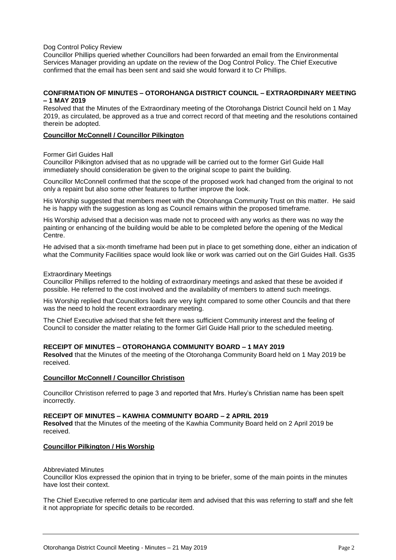#### Dog Control Policy Review

Councillor Phillips queried whether Councillors had been forwarded an email from the Environmental Services Manager providing an update on the review of the Dog Control Policy. The Chief Executive confirmed that the email has been sent and said she would forward it to Cr Phillips.

#### **CONFIRMATION OF MINUTES – OTOROHANGA DISTRICT COUNCIL – EXTRAORDINARY MEETING – 1 MAY 2019**

Resolved that the Minutes of the Extraordinary meeting of the Otorohanga District Council held on 1 May 2019, as circulated, be approved as a true and correct record of that meeting and the resolutions contained therein be adopted.

#### **Councillor McConnell / Councillor Pilkington**

Former Girl Guides Hall

Councillor Pilkington advised that as no upgrade will be carried out to the former Girl Guide Hall immediately should consideration be given to the original scope to paint the building.

Councillor McConnell confirmed that the scope of the proposed work had changed from the original to not only a repaint but also some other features to further improve the look.

His Worship suggested that members meet with the Otorohanga Community Trust on this matter. He said he is happy with the suggestion as long as Council remains within the proposed timeframe.

His Worship advised that a decision was made not to proceed with any works as there was no way the painting or enhancing of the building would be able to be completed before the opening of the Medical Centre.

He advised that a six-month timeframe had been put in place to get something done, either an indication of what the Community Facilities space would look like or work was carried out on the Girl Guides Hall. Gs35

#### Extraordinary Meetings

Councillor Phillips referred to the holding of extraordinary meetings and asked that these be avoided if possible. He referred to the cost involved and the availability of members to attend such meetings.

His Worship replied that Councillors loads are very light compared to some other Councils and that there was the need to hold the recent extraordinary meeting.

The Chief Executive advised that she felt there was sufficient Community interest and the feeling of Council to consider the matter relating to the former Girl Guide Hall prior to the scheduled meeting.

#### **RECEIPT OF MINUTES – OTOROHANGA COMMUNITY BOARD – 1 MAY 2019**

**Resolved** that the Minutes of the meeting of the Otorohanga Community Board held on 1 May 2019 be received.

#### **Councillor McConnell / Councillor Christison**

Councillor Christison referred to page 3 and reported that Mrs. Hurley's Christian name has been spelt incorrectly.

#### **RECEIPT OF MINUTES – KAWHIA COMMUNITY BOARD – 2 APRIL 2019**

**Resolved** that the Minutes of the meeting of the Kawhia Community Board held on 2 April 2019 be received.

#### **Councillor Pilkington / His Worship**

#### Abbreviated Minutes

Councillor Klos expressed the opinion that in trying to be briefer, some of the main points in the minutes have lost their context.

The Chief Executive referred to one particular item and advised that this was referring to staff and she felt it not appropriate for specific details to be recorded.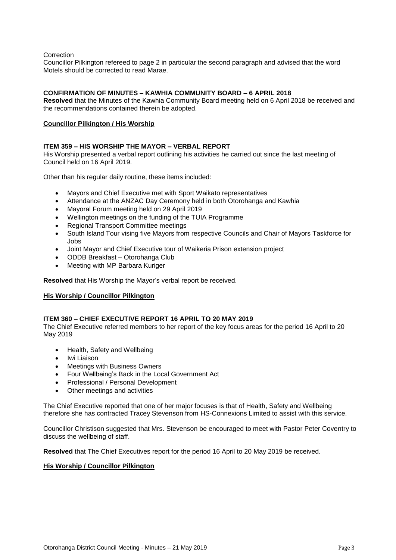Correction

Councillor Pilkington refereed to page 2 in particular the second paragraph and advised that the word Motels should be corrected to read Marae.

#### **CONFIRMATION OF MINUTES – KAWHIA COMMUNITY BOARD – 6 APRIL 2018**

**Resolved** that the Minutes of the Kawhia Community Board meeting held on 6 April 2018 be received and the recommendations contained therein be adopted.

#### **Councillor Pilkington / His Worship**

#### **ITEM 359 – HIS WORSHIP THE MAYOR – VERBAL REPORT**

His Worship presented a verbal report outlining his activities he carried out since the last meeting of Council held on 16 April 2019.

Other than his regular daily routine, these items included:

- Mayors and Chief Executive met with Sport Waikato representatives
- Attendance at the ANZAC Day Ceremony held in both Otorohanga and Kawhia
- Mayoral Forum meeting held on 29 April 2019
- Wellington meetings on the funding of the TUIA Programme
- Regional Transport Committee meetings
- South Island Tour vising five Mayors from respective Councils and Chair of Mayors Taskforce for Jobs
- Joint Mayor and Chief Executive tour of Waikeria Prison extension project
- ODDB Breakfast Otorohanga Club
- Meeting with MP Barbara Kuriger

**Resolved** that His Worship the Mayor's verbal report be received.

#### **His Worship / Councillor Pilkington**

#### **ITEM 360 – CHIEF EXECUTIVE REPORT 16 APRIL TO 20 MAY 2019**

The Chief Executive referred members to her report of the key focus areas for the period 16 April to 20 May 2019

- Health, Safety and Wellbeing
- Iwi Liaison
- Meetings with Business Owners
- Four Wellbeing's Back in the Local Government Act
- Professional / Personal Development
- Other meetings and activities

The Chief Executive reported that one of her major focuses is that of Health, Safety and Wellbeing therefore she has contracted Tracey Stevenson from HS-Connexions Limited to assist with this service.

Councillor Christison suggested that Mrs. Stevenson be encouraged to meet with Pastor Peter Coventry to discuss the wellbeing of staff.

**Resolved** that The Chief Executives report for the period 16 April to 20 May 2019 be received.

#### **His Worship / Councillor Pilkington**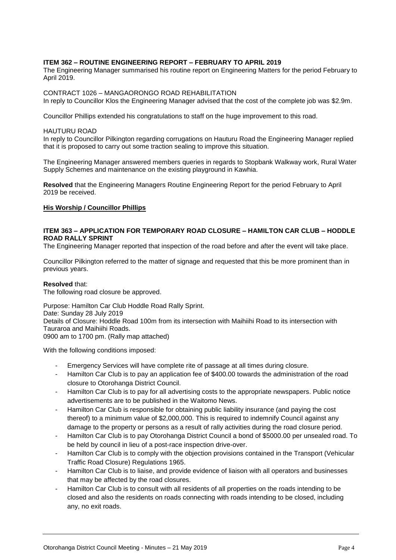#### **ITEM 362 – ROUTINE ENGINEERING REPORT – FEBRUARY TO APRIL 2019**

The Engineering Manager summarised his routine report on Engineering Matters for the period February to April 2019.

#### CONTRACT 1026 – MANGAORONGO ROAD REHABILITATION

In reply to Councillor Klos the Engineering Manager advised that the cost of the complete job was \$2.9m.

Councillor Phillips extended his congratulations to staff on the huge improvement to this road.

#### HAUTURU ROAD

In reply to Councillor Pilkington regarding corrugations on Hauturu Road the Engineering Manager replied that it is proposed to carry out some traction sealing to improve this situation.

The Engineering Manager answered members queries in regards to Stopbank Walkway work, Rural Water Supply Schemes and maintenance on the existing playground in Kawhia.

**Resolved** that the Engineering Managers Routine Engineering Report for the period February to April 2019 be received.

#### **His Worship / Councillor Phillips**

#### **ITEM 363 – APPLICATION FOR TEMPORARY ROAD CLOSURE – HAMILTON CAR CLUB – HODDLE ROAD RALLY SPRINT**

The Engineering Manager reported that inspection of the road before and after the event will take place.

Councillor Pilkington referred to the matter of signage and requested that this be more prominent than in previous years.

#### **Resolved** that:

The following road closure be approved.

Purpose: Hamilton Car Club Hoddle Road Rally Sprint. Date: Sunday 28 July 2019 Details of Closure: Hoddle Road 100m from its intersection with Maihiihi Road to its intersection with Tauraroa and Maihiihi Roads. 0900 am to 1700 pm. (Rally map attached)

With the following conditions imposed:

- Emergency Services will have complete rite of passage at all times during closure.
- Hamilton Car Club is to pay an application fee of \$400.00 towards the administration of the road closure to Otorohanga District Council.
- Hamilton Car Club is to pay for all advertising costs to the appropriate newspapers. Public notice advertisements are to be published in the Waitomo News.
- Hamilton Car Club is responsible for obtaining public liability insurance (and paying the cost thereof) to a minimum value of \$2,000,000. This is required to indemnify Council against any damage to the property or persons as a result of rally activities during the road closure period.
- Hamilton Car Club is to pay Otorohanga District Council a bond of \$5000.00 per unsealed road. To be held by council in lieu of a post-race inspection drive-over.
- Hamilton Car Club is to comply with the objection provisions contained in the Transport (Vehicular Traffic Road Closure) Regulations 1965.
- Hamilton Car Club is to liaise, and provide evidence of liaison with all operators and businesses that may be affected by the road closures.
- Hamilton Car Club is to consult with all residents of all properties on the roads intending to be closed and also the residents on roads connecting with roads intending to be closed, including any, no exit roads.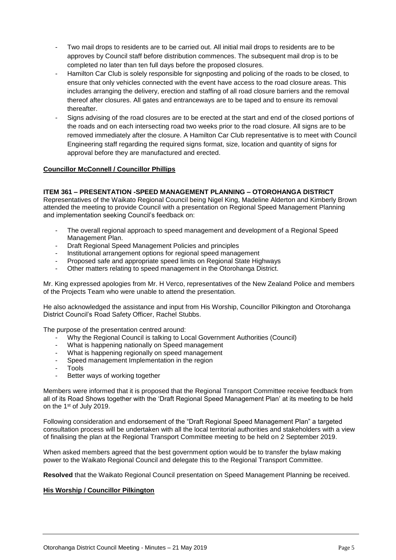- Two mail drops to residents are to be carried out. All initial mail drops to residents are to be approves by Council staff before distribution commences. The subsequent mail drop is to be completed no later than ten full days before the proposed closures.
- Hamilton Car Club is solely responsible for signposting and policing of the roads to be closed, to ensure that only vehicles connected with the event have access to the road closure areas. This includes arranging the delivery, erection and staffing of all road closure barriers and the removal thereof after closures. All gates and entranceways are to be taped and to ensure its removal thereafter.
- Signs advising of the road closures are to be erected at the start and end of the closed portions of the roads and on each intersecting road two weeks prior to the road closure. All signs are to be removed immediately after the closure. A Hamilton Car Club representative is to meet with Council Engineering staff regarding the required signs format, size, location and quantity of signs for approval before they are manufactured and erected.

#### **Councillor McConnell / Councillor Phillips**

#### **ITEM 361 – PRESENTATION -SPEED MANAGEMENT PLANNING – OTOROHANGA DISTRICT**

Representatives of the Waikato Regional Council being Nigel King, Madeline Alderton and Kimberly Brown attended the meeting to provide Council with a presentation on Regional Speed Management Planning and implementation seeking Council's feedback on:

- The overall regional approach to speed management and development of a Regional Speed Management Plan.
- Draft Regional Speed Management Policies and principles
- Institutional arrangement options for regional speed management
- Proposed safe and appropriate speed limits on Regional State Highways
- Other matters relating to speed management in the Otorohanga District.

Mr. King expressed apologies from Mr. H Verco, representatives of the New Zealand Police and members of the Projects Team who were unable to attend the presentation.

He also acknowledged the assistance and input from His Worship, Councillor Pilkington and Otorohanga District Council's Road Safety Officer, Rachel Stubbs.

The purpose of the presentation centred around:

- Why the Regional Council is talking to Local Government Authorities (Council)
- What is happening nationally on Speed management
- What is happening regionally on speed management
- Speed management Implementation in the region
- **Tools**
- Better ways of working together

Members were informed that it is proposed that the Regional Transport Committee receive feedback from all of its Road Shows together with the 'Draft Regional Speed Management Plan' at its meeting to be held on the 1st of July 2019.

Following consideration and endorsement of the "Draft Regional Speed Management Plan" a targeted consultation process will be undertaken with all the local territorial authorities and stakeholders with a view of finalising the plan at the Regional Transport Committee meeting to be held on 2 September 2019.

When asked members agreed that the best government option would be to transfer the bylaw making power to the Waikato Regional Council and delegate this to the Regional Transport Committee.

**Resolved** that the Waikato Regional Council presentation on Speed Management Planning be received.

#### **His Worship / Councillor Pilkington**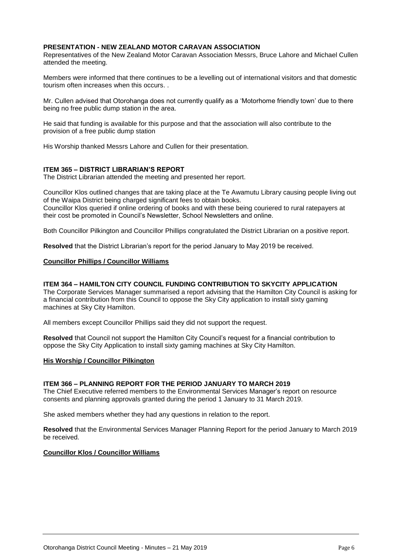#### **PRESENTATION - NEW ZEALAND MOTOR CARAVAN ASSOCIATION**

Representatives of the New Zealand Motor Caravan Association Messrs, Bruce Lahore and Michael Cullen attended the meeting.

Members were informed that there continues to be a levelling out of international visitors and that domestic tourism often increases when this occurs. .

Mr. Cullen advised that Otorohanga does not currently qualify as a 'Motorhome friendly town' due to there being no free public dump station in the area.

He said that funding is available for this purpose and that the association will also contribute to the provision of a free public dump station

His Worship thanked Messrs Lahore and Cullen for their presentation.

#### **ITEM 365 – DISTRICT LIBRARIAN'S REPORT**

The District Librarian attended the meeting and presented her report.

Councillor Klos outlined changes that are taking place at the Te Awamutu Library causing people living out of the Waipa District being charged significant fees to obtain books. Councillor Klos queried if online ordering of books and with these being couriered to rural ratepayers at their cost be promoted in Council's Newsletter, School Newsletters and online.

Both Councillor Pilkington and Councillor Phillips congratulated the District Librarian on a positive report.

**Resolved** that the District Librarian's report for the period January to May 2019 be received.

#### **Councillor Phillips / Councillor Williams**

#### **ITEM 364 – HAMILTON CITY COUNCIL FUNDING CONTRIBUTION TO SKYCITY APPLICATION**

The Corporate Services Manager summarised a report advising that the Hamilton City Council is asking for a financial contribution from this Council to oppose the Sky City application to install sixty gaming machines at Sky City Hamilton.

All members except Councillor Phillips said they did not support the request.

**Resolved** that Council not support the Hamilton City Council's request for a financial contribution to oppose the Sky City Application to install sixty gaming machines at Sky City Hamilton.

#### **His Worship / Councillor Pilkington**

#### **ITEM 366 – PLANNING REPORT FOR THE PERIOD JANUARY TO MARCH 2019**

The Chief Executive referred members to the Environmental Services Manager's report on resource consents and planning approvals granted during the period 1 January to 31 March 2019.

She asked members whether they had any questions in relation to the report.

**Resolved** that the Environmental Services Manager Planning Report for the period January to March 2019 be received.

#### **Councillor Klos / Councillor Williams**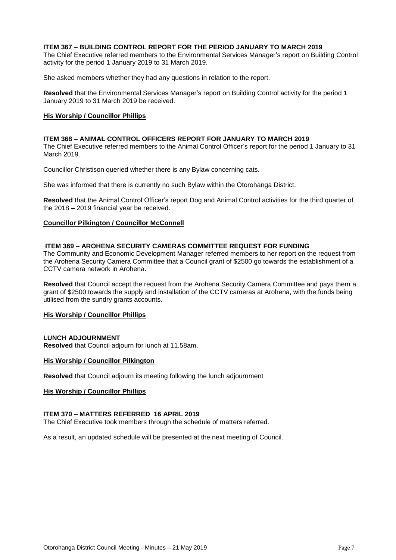#### **ITEM 367 – BUILDING CONTROL REPORT FOR THE PERIOD JANUARY TO MARCH 2019**

The Chief Executive referred members to the Environmental Services Manager's report on Building Control activity for the period 1 January 2019 to 31 March 2019.

She asked members whether they had any questions in relation to the report.

**Resolved** that the Environmental Services Manager's report on Building Control activity for the period 1 January 2019 to 31 March 2019 be received.

#### **His Worship / Councillor Phillips**

#### **ITEM 368 – ANIMAL CONTROL OFFICERS REPORT FOR JANUARY TO MARCH 2019**

The Chief Executive referred members to the Animal Control Officer's report for the period 1 January to 31 March 2019.

Councillor Christison queried whether there is any Bylaw concerning cats.

She was informed that there is currently no such Bylaw within the Otorohanga District.

**Resolved** that the Animal Control Officer's report Dog and Animal Control activities for the third quarter of the 2018 – 2019 financial year be received.

#### **Councillor Pilkington / Councillor McConnell**

#### **ITEM 369 – AROHENA SECURITY CAMERAS COMMITTEE REQUEST FOR FUNDING**

The Community and Economic Development Manager referred members to her report on the request from the Arohena Security Camera Committee that a Council grant of \$2500 go towards the establishment of a CCTV camera network in Arohena.

**Resolved** that Council accept the request from the Arohena Security Camera Committee and pays them a grant of \$2500 towards the supply and installation of the CCTV cameras at Arohena, with the funds being utilised from the sundry grants accounts.

#### **His Worship / Councillor Phillips**

#### **LUNCH ADJOURNMENT**

**Resolved** that Council adjourn for lunch at 11.58am.

#### **His Worship / Councillor Pilkington**

**Resolved** that Council adjourn its meeting following the lunch adjournment

#### **His Worship / Councillor Phillips**

#### **ITEM 370 – MATTERS REFERRED 16 APRIL 2019**

The Chief Executive took members through the schedule of matters referred.

As a result, an updated schedule will be presented at the next meeting of Council.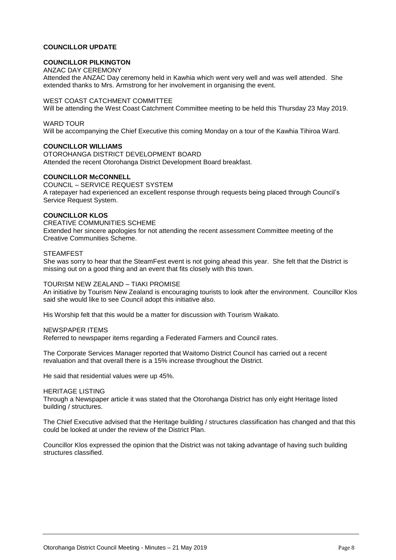#### **COUNCILLOR UPDATE**

#### **COUNCILLOR PILKINGTON**

#### ANZAC DAY CEREMONY

Attended the ANZAC Day ceremony held in Kawhia which went very well and was well attended. She extended thanks to Mrs. Armstrong for her involvement in organising the event.

#### WEST COAST CATCHMENT COMMITTEE

Will be attending the West Coast Catchment Committee meeting to be held this Thursday 23 May 2019.

#### WARD TOUR

Will be accompanying the Chief Executive this coming Monday on a tour of the Kawhia Tihiroa Ward.

#### **COUNCILLOR WILLIAMS**

OTOROHANGA DISTRICT DEVELOPMENT BOARD Attended the recent Otorohanga District Development Board breakfast.

#### **COUNCILLOR McCONNELL**

COUNCIL – SERVICE REQUEST SYSTEM A ratepayer had experienced an excellent response through requests being placed through Council's Service Request System.

#### **COUNCILLOR KLOS**

CREATIVE COMMUNITIES SCHEME

Extended her sincere apologies for not attending the recent assessment Committee meeting of the Creative Communities Scheme.

#### **STEAMFEST**

She was sorry to hear that the SteamFest event is not going ahead this year. She felt that the District is missing out on a good thing and an event that fits closely with this town.

#### TOURISM NEW ZEALAND – TIAKI PROMISE

An initiative by Tourism New Zealand is encouraging tourists to look after the environment. Councillor Klos said she would like to see Council adopt this initiative also.

His Worship felt that this would be a matter for discussion with Tourism Waikato.

#### NEWSPAPER ITEMS

Referred to newspaper items regarding a Federated Farmers and Council rates.

The Corporate Services Manager reported that Waitomo District Council has carried out a recent revaluation and that overall there is a 15% increase throughout the District.

He said that residential values were up 45%.

#### HERITAGE LISTING

Through a Newspaper article it was stated that the Otorohanga District has only eight Heritage listed building / structures.

The Chief Executive advised that the Heritage building / structures classification has changed and that this could be looked at under the review of the District Plan.

Councillor Klos expressed the opinion that the District was not taking advantage of having such building structures classified.